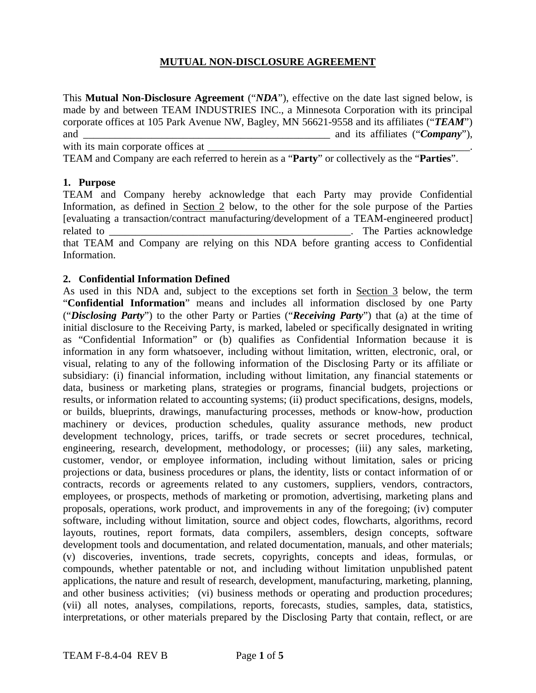# **MUTUAL NON-DISCLOSURE AGREEMENT**

This **Mutual Non-Disclosure Agreement** ("*NDA*"), effective on the date last signed below, is made by and between TEAM INDUSTRIES INC., a Minnesota Corporation with its principal corporate offices at 105 Park Avenue NW, Bagley, MN 56621-9558 and its affiliates ("*TEAM*") and \_\_\_\_\_\_\_\_\_\_\_\_\_\_\_\_\_\_\_\_\_\_\_\_\_\_\_\_\_\_\_\_\_\_\_\_\_\_\_\_\_\_\_\_\_\_\_ and its affiliates ("*Company*"), with its main corporate offices at

TEAM and Company are each referred to herein as a "**Party**" or collectively as the "**Parties**".

## **1. Purpose**

TEAM and Company hereby acknowledge that each Party may provide Confidential Information, as defined in Section 2 below, to the other for the sole purpose of the Parties [evaluating a transaction/contract manufacturing/development of a TEAM-engineered product] related to contract the parties acknowledge to the Parties acknowledge that TEAM and Company are relying on this NDA before granting access to Confidential Information.

## **2. Confidential Information Defined**

As used in this NDA and, subject to the exceptions set forth in Section 3 below, the term "**Confidential Information**" means and includes all information disclosed by one Party ("*Disclosing Party*") to the other Party or Parties ("*Receiving Party*") that (a) at the time of initial disclosure to the Receiving Party, is marked, labeled or specifically designated in writing as "Confidential Information" or (b) qualifies as Confidential Information because it is information in any form whatsoever, including without limitation, written, electronic, oral, or visual, relating to any of the following information of the Disclosing Party or its affiliate or subsidiary: (i) financial information, including without limitation, any financial statements or data, business or marketing plans, strategies or programs, financial budgets, projections or results, or information related to accounting systems; (ii) product specifications, designs, models, or builds, blueprints, drawings, manufacturing processes, methods or know-how, production machinery or devices, production schedules, quality assurance methods, new product development technology, prices, tariffs, or trade secrets or secret procedures, technical, engineering, research, development, methodology, or processes; (iii) any sales, marketing, customer, vendor, or employee information, including without limitation, sales or pricing projections or data, business procedures or plans, the identity, lists or contact information of or contracts, records or agreements related to any customers, suppliers, vendors, contractors, employees, or prospects, methods of marketing or promotion, advertising, marketing plans and proposals, operations, work product, and improvements in any of the foregoing; (iv) computer software, including without limitation, source and object codes, flowcharts, algorithms, record layouts, routines, report formats, data compilers, assemblers, design concepts, software development tools and documentation, and related documentation, manuals, and other materials; (v) discoveries, inventions, trade secrets, copyrights, concepts and ideas, formulas, or compounds, whether patentable or not, and including without limitation unpublished patent applications, the nature and result of research, development, manufacturing, marketing, planning, and other business activities; (vi) business methods or operating and production procedures; (vii) all notes, analyses, compilations, reports, forecasts, studies, samples, data, statistics, interpretations, or other materials prepared by the Disclosing Party that contain, reflect, or are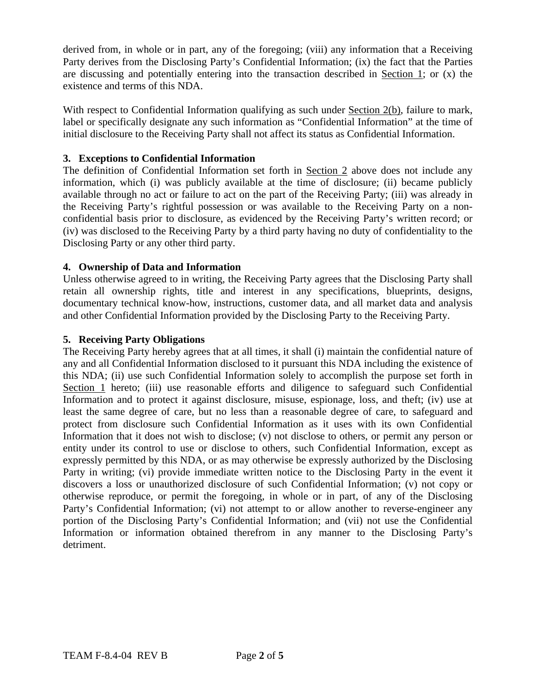derived from, in whole or in part, any of the foregoing; (viii) any information that a Receiving Party derives from the Disclosing Party's Confidential Information; (ix) the fact that the Parties are discussing and potentially entering into the transaction described in Section 1; or (x) the existence and terms of this NDA.

With respect to Confidential Information qualifying as such under Section 2(b), failure to mark, label or specifically designate any such information as "Confidential Information" at the time of initial disclosure to the Receiving Party shall not affect its status as Confidential Information.

# **3. Exceptions to Confidential Information**

The definition of Confidential Information set forth in Section 2 above does not include any information, which (i) was publicly available at the time of disclosure; (ii) became publicly available through no act or failure to act on the part of the Receiving Party; (iii) was already in the Receiving Party's rightful possession or was available to the Receiving Party on a nonconfidential basis prior to disclosure, as evidenced by the Receiving Party's written record; or (iv) was disclosed to the Receiving Party by a third party having no duty of confidentiality to the Disclosing Party or any other third party.

# **4. Ownership of Data and Information**

Unless otherwise agreed to in writing, the Receiving Party agrees that the Disclosing Party shall retain all ownership rights, title and interest in any specifications, blueprints, designs, documentary technical know-how, instructions, customer data, and all market data and analysis and other Confidential Information provided by the Disclosing Party to the Receiving Party.

# **5. Receiving Party Obligations**

The Receiving Party hereby agrees that at all times, it shall (i) maintain the confidential nature of any and all Confidential Information disclosed to it pursuant this NDA including the existence of this NDA; (ii) use such Confidential Information solely to accomplish the purpose set forth in Section 1 hereto; (iii) use reasonable efforts and diligence to safeguard such Confidential Information and to protect it against disclosure, misuse, espionage, loss, and theft; (iv) use at least the same degree of care, but no less than a reasonable degree of care, to safeguard and protect from disclosure such Confidential Information as it uses with its own Confidential Information that it does not wish to disclose; (v) not disclose to others, or permit any person or entity under its control to use or disclose to others, such Confidential Information, except as expressly permitted by this NDA, or as may otherwise be expressly authorized by the Disclosing Party in writing; (vi) provide immediate written notice to the Disclosing Party in the event it discovers a loss or unauthorized disclosure of such Confidential Information; (v) not copy or otherwise reproduce, or permit the foregoing, in whole or in part, of any of the Disclosing Party's Confidential Information; (vi) not attempt to or allow another to reverse-engineer any portion of the Disclosing Party's Confidential Information; and (vii) not use the Confidential Information or information obtained therefrom in any manner to the Disclosing Party's detriment.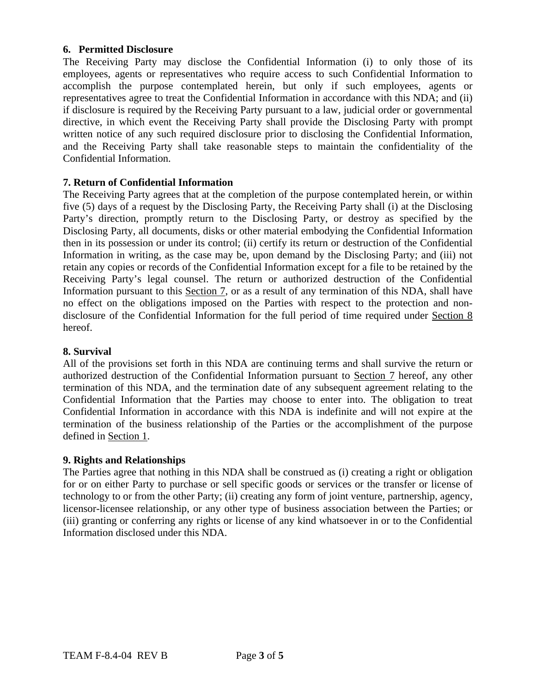## **6. Permitted Disclosure**

The Receiving Party may disclose the Confidential Information (i) to only those of its employees, agents or representatives who require access to such Confidential Information to accomplish the purpose contemplated herein, but only if such employees, agents or representatives agree to treat the Confidential Information in accordance with this NDA; and (ii) if disclosure is required by the Receiving Party pursuant to a law, judicial order or governmental directive, in which event the Receiving Party shall provide the Disclosing Party with prompt written notice of any such required disclosure prior to disclosing the Confidential Information, and the Receiving Party shall take reasonable steps to maintain the confidentiality of the Confidential Information.

# **7. Return of Confidential Information**

The Receiving Party agrees that at the completion of the purpose contemplated herein, or within five (5) days of a request by the Disclosing Party, the Receiving Party shall (i) at the Disclosing Party's direction, promptly return to the Disclosing Party, or destroy as specified by the Disclosing Party, all documents, disks or other material embodying the Confidential Information then in its possession or under its control; (ii) certify its return or destruction of the Confidential Information in writing, as the case may be, upon demand by the Disclosing Party; and (iii) not retain any copies or records of the Confidential Information except for a file to be retained by the Receiving Party's legal counsel. The return or authorized destruction of the Confidential Information pursuant to this Section 7, or as a result of any termination of this NDA, shall have no effect on the obligations imposed on the Parties with respect to the protection and nondisclosure of the Confidential Information for the full period of time required under Section 8 hereof.

# **8. Survival**

All of the provisions set forth in this NDA are continuing terms and shall survive the return or authorized destruction of the Confidential Information pursuant to Section 7 hereof, any other termination of this NDA, and the termination date of any subsequent agreement relating to the Confidential Information that the Parties may choose to enter into. The obligation to treat Confidential Information in accordance with this NDA is indefinite and will not expire at the termination of the business relationship of the Parties or the accomplishment of the purpose defined in Section 1.

## **9. Rights and Relationships**

The Parties agree that nothing in this NDA shall be construed as (i) creating a right or obligation for or on either Party to purchase or sell specific goods or services or the transfer or license of technology to or from the other Party; (ii) creating any form of joint venture, partnership, agency, licensor-licensee relationship, or any other type of business association between the Parties; or (iii) granting or conferring any rights or license of any kind whatsoever in or to the Confidential Information disclosed under this NDA.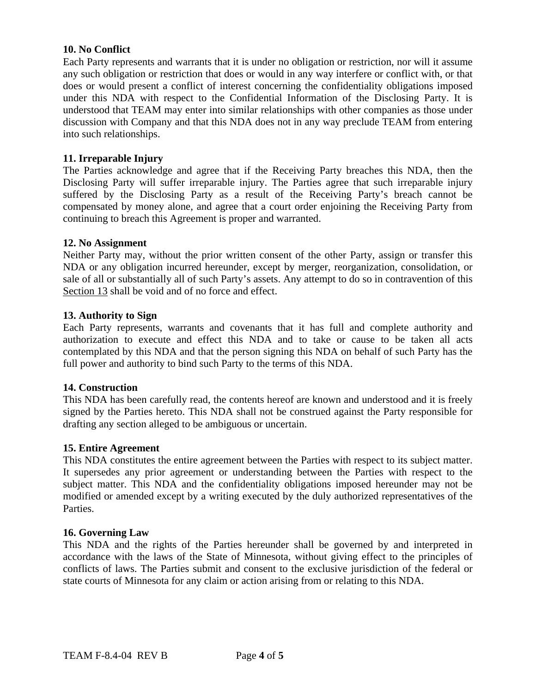## **10. No Conflict**

Each Party represents and warrants that it is under no obligation or restriction, nor will it assume any such obligation or restriction that does or would in any way interfere or conflict with, or that does or would present a conflict of interest concerning the confidentiality obligations imposed under this NDA with respect to the Confidential Information of the Disclosing Party. It is understood that TEAM may enter into similar relationships with other companies as those under discussion with Company and that this NDA does not in any way preclude TEAM from entering into such relationships.

## **11. Irreparable Injury**

The Parties acknowledge and agree that if the Receiving Party breaches this NDA, then the Disclosing Party will suffer irreparable injury. The Parties agree that such irreparable injury suffered by the Disclosing Party as a result of the Receiving Party's breach cannot be compensated by money alone, and agree that a court order enjoining the Receiving Party from continuing to breach this Agreement is proper and warranted.

#### **12. No Assignment**

Neither Party may, without the prior written consent of the other Party, assign or transfer this NDA or any obligation incurred hereunder, except by merger, reorganization, consolidation, or sale of all or substantially all of such Party's assets. Any attempt to do so in contravention of this Section 13 shall be void and of no force and effect.

#### **13. Authority to Sign**

Each Party represents, warrants and covenants that it has full and complete authority and authorization to execute and effect this NDA and to take or cause to be taken all acts contemplated by this NDA and that the person signing this NDA on behalf of such Party has the full power and authority to bind such Party to the terms of this NDA.

#### **14. Construction**

This NDA has been carefully read, the contents hereof are known and understood and it is freely signed by the Parties hereto. This NDA shall not be construed against the Party responsible for drafting any section alleged to be ambiguous or uncertain.

#### **15. Entire Agreement**

This NDA constitutes the entire agreement between the Parties with respect to its subject matter. It supersedes any prior agreement or understanding between the Parties with respect to the subject matter. This NDA and the confidentiality obligations imposed hereunder may not be modified or amended except by a writing executed by the duly authorized representatives of the Parties.

#### **16. Governing Law**

This NDA and the rights of the Parties hereunder shall be governed by and interpreted in accordance with the laws of the State of Minnesota, without giving effect to the principles of conflicts of laws. The Parties submit and consent to the exclusive jurisdiction of the federal or state courts of Minnesota for any claim or action arising from or relating to this NDA.